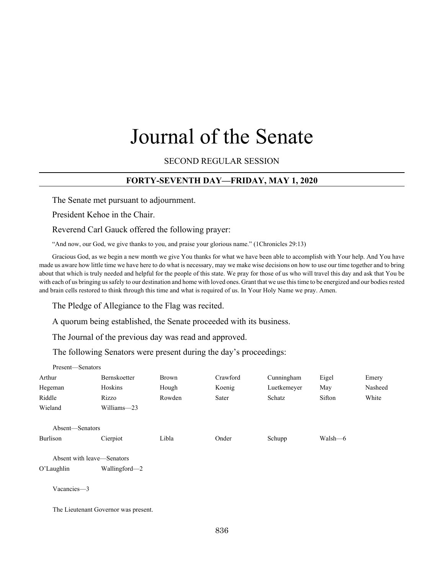# Journal of the Senate

SECOND REGULAR SESSION

# **FORTY-SEVENTH DAY—FRIDAY, MAY 1, 2020**

The Senate met pursuant to adjournment.

President Kehoe in the Chair.

Present—Senators

Reverend Carl Gauck offered the following prayer:

"And now, our God, we give thanks to you, and praise your glorious name." (1Chronicles 29:13)

Gracious God, as we begin a new month we give You thanks for what we have been able to accomplish with Your help. And You have made us aware how little time we have here to do what is necessary, may we make wise decisions on how to use our time together and to bring about that which is truly needed and helpful for the people of this state. We pray for those of us who will travel this day and ask that You be with each of us bringing us safely to our destination and home with loved ones. Grant that we use this time to be energized and our bodies rested and brain cells restored to think through this time and what is required of us. In Your Holy Name we pray. Amen.

The Pledge of Allegiance to the Flag was recited.

A quorum being established, the Senate proceeded with its business.

The Journal of the previous day was read and approved.

The following Senators were present during the day's proceedings:

| $11$ CSCIII—SCIIAIUIS |                                      |              |          |             |         |         |
|-----------------------|--------------------------------------|--------------|----------|-------------|---------|---------|
| Arthur                | Bernskoetter                         | <b>Brown</b> | Crawford | Cunningham  | Eigel   | Emery   |
| Hegeman               | Hoskins                              | Hough        | Koenig   | Luetkemeyer | May     | Nasheed |
| Riddle                | Rizzo                                | Rowden       | Sater    | Schatz      | Sifton  | White   |
| Wieland               | Williams-23                          |              |          |             |         |         |
| Absent—Senators       |                                      |              |          |             |         |         |
| Burlison              | Cierpiot                             | Libla        | Onder    | Schupp      | Walsh-6 |         |
|                       | Absent with leave—Senators           |              |          |             |         |         |
| O'Laughlin            | Wallingford-2                        |              |          |             |         |         |
| Vacancies-3           |                                      |              |          |             |         |         |
|                       | The Lieutenant Governor was present. |              |          |             |         |         |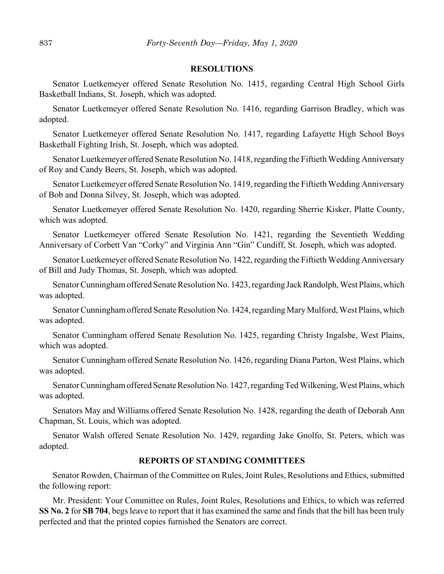#### **RESOLUTIONS**

Senator Luetkemeyer offered Senate Resolution No. 1415, regarding Central High School Girls Basketball Indians, St. Joseph, which was adopted.

Senator Luetkemeyer offered Senate Resolution No. 1416, regarding Garrison Bradley, which was adopted.

Senator Luetkemeyer offered Senate Resolution No. 1417, regarding Lafayette High School Boys Basketball Fighting Irish, St. Joseph, which was adopted.

Senator Luetkemeyer offered Senate Resolution No. 1418, regarding the Fiftieth Wedding Anniversary of Roy and Candy Beers, St. Joseph, which was adopted.

Senator Luetkemeyer offered Senate Resolution No. 1419, regarding the Fiftieth Wedding Anniversary of Bob and Donna Silvey, St. Joseph, which was adopted.

Senator Luetkemeyer offered Senate Resolution No. 1420, regarding Sherrie Kisker, Platte County, which was adopted.

Senator Luetkemeyer offered Senate Resolution No. 1421, regarding the Seventieth Wedding Anniversary of Corbett Van "Corky" and Virginia Ann "Gin" Cundiff, St. Joseph, which was adopted.

Senator Luetkemeyer offered Senate Resolution No. 1422, regarding the Fiftieth Wedding Anniversary of Bill and Judy Thomas, St. Joseph, which was adopted.

Senator Cunningham offered Senate Resolution No. 1423, regarding Jack Randolph, West Plains, which was adopted.

Senator Cunningham offered Senate Resolution No. 1424, regarding Mary Mulford, West Plains, which was adopted.

Senator Cunningham offered Senate Resolution No. 1425, regarding Christy Ingalsbe, West Plains, which was adopted.

Senator Cunningham offered Senate Resolution No. 1426, regarding Diana Parton, West Plains, which was adopted.

Senator Cunningham offered Senate Resolution No. 1427, regarding Ted Wilkening, West Plains, which was adopted.

Senators May and Williams offered Senate Resolution No. 1428, regarding the death of Deborah Ann Chapman, St. Louis, which was adopted.

Senator Walsh offered Senate Resolution No. 1429, regarding Jake Gnolfo, St. Peters, which was adopted.

### **REPORTS OF STANDING COMMITTEES**

Senator Rowden, Chairman of the Committee on Rules, Joint Rules, Resolutions and Ethics, submitted the following report:

Mr. President: Your Committee on Rules, Joint Rules, Resolutions and Ethics, to which was referred **SS No. 2** for **SB 704**, begs leave to report that it has examined the same and finds that the bill has been truly perfected and that the printed copies furnished the Senators are correct.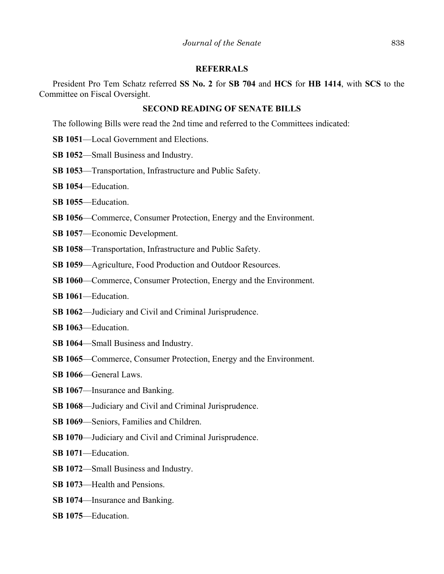### **REFERRALS**

President Pro Tem Schatz referred **SS No. 2** for **SB 704** and **HCS** for **HB 1414**, with **SCS** to the Committee on Fiscal Oversight.

## **SECOND READING OF SENATE BILLS**

The following Bills were read the 2nd time and referred to the Committees indicated:

**SB 1051**––Local Government and Elections.

**SB 1052**––Small Business and Industry.

- **SB 1053**––Transportation, Infrastructure and Public Safety.
- **SB 1054**––Education.
- **SB 1055**––Education.
- **SB 1056—Commerce, Consumer Protection, Energy and the Environment.**
- **SB 1057**––Economic Development.
- **SB 1058**––Transportation, Infrastructure and Public Safety.
- **SB 1059**––Agriculture, Food Production and Outdoor Resources.
- **SB 1060—Commerce, Consumer Protection, Energy and the Environment.**
- **SB 1061**––Education.
- **SB 1062**––Judiciary and Civil and Criminal Jurisprudence.
- **SB 1063**––Education.
- **SB 1064**––Small Business and Industry.
- **SB 1065—Commerce, Consumer Protection, Energy and the Environment.**
- **SB 1066**––General Laws.
- **SB 1067**—Insurance and Banking.
- **SB 1068**––Judiciary and Civil and Criminal Jurisprudence.
- **SB 1069**—Seniors, Families and Children.
- **SB 1070**—Judiciary and Civil and Criminal Jurisprudence.
- **SB 1071**––Education.
- **SB 1072**––Small Business and Industry.
- **SB 1073**––Health and Pensions.
- **SB 1074**––Insurance and Banking.
- **SB 1075**––Education.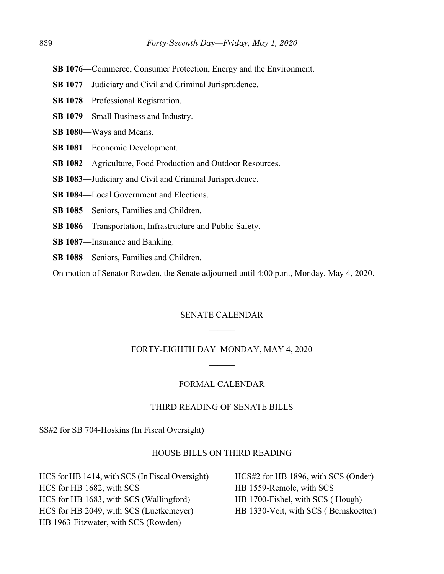- **SB 1076—Commerce, Consumer Protection, Energy and the Environment.**
- **SB 1077—Judiciary and Civil and Criminal Jurisprudence.**
- **SB 1078**––Professional Registration.
- **SB 1079**––Small Business and Industry.
- **SB 1080**––Ways and Means.
- **SB 1081**––Economic Development.
- **SB 1082**––Agriculture, Food Production and Outdoor Resources.
- **SB 1083**––Judiciary and Civil and Criminal Jurisprudence.
- **SB 1084**––Local Government and Elections.
- **SB 1085**––Seniors, Families and Children.
- **SB 1086**––Transportation, Infrastructure and Public Safety.
- **SB 1087**––Insurance and Banking.
- **SB 1088**––Seniors, Families and Children.

On motion of Senator Rowden, the Senate adjourned until 4:00 p.m., Monday, May 4, 2020.

## SENATE CALENDAR

### FORTY-EIGHTH DAY–MONDAY, MAY 4, 2020

## FORMAL CALENDAR

# THIRD READING OF SENATE BILLS

SS#2 for SB 704-Hoskins (In Fiscal Oversight)

#### HOUSE BILLS ON THIRD READING

HCS for HB 1414, with SCS (In Fiscal Oversight) HCS for HB 1682, with SCS HCS for HB 1683, with SCS (Wallingford) HCS for HB 2049, with SCS (Luetkemeyer) HB 1963-Fitzwater, with SCS (Rowden)

HCS#2 for HB 1896, with SCS (Onder) HB 1559-Remole, with SCS HB 1700-Fishel, with SCS ( Hough) HB 1330-Veit, with SCS ( Bernskoetter)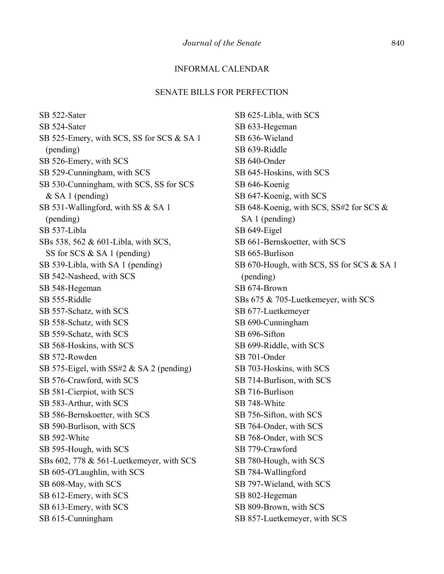## INFORMAL CALENDAR

#### SENATE BILLS FOR PERFECTION

SB 522-Sater SB 524-Sater SB 525-Emery, with SCS, SS for SCS & SA 1 (pending) SB 526-Emery, with SCS SB 529-Cunningham, with SCS SB 530-Cunningham, with SCS, SS for SCS & SA 1 (pending) SB 531-Wallingford, with SS & SA 1 (pending) SB 537-Libla SBs 538, 562 & 601-Libla, with SCS, SS for SCS & SA 1 (pending) SB 539-Libla, with SA 1 (pending) SB 542-Nasheed, with SCS SB 548-Hegeman SB 555-Riddle SB 557-Schatz, with SCS SB 558-Schatz, with SCS SB 559-Schatz, with SCS SB 568-Hoskins, with SCS SB 572-Rowden SB 575-Eigel, with SS#2 & SA 2 (pending) SB 576-Crawford, with SCS SB 581-Cierpiot, with SCS SB 583-Arthur, with SCS SB 586-Bernskoetter, with SCS SB 590-Burlison, with SCS SB 592-White SB 595-Hough, with SCS SBs 602, 778 & 561-Luetkemeyer, with SCS SB 605-O'Laughlin, with SCS SB 608-May, with SCS SB 612-Emery, with SCS SB 613-Emery, with SCS SB 615-Cunningham

SB 625-Libla, with SCS SB 633-Hegeman SB 636-Wieland SB 639-Riddle SB 640-Onder SB 645-Hoskins, with SCS SB 646-Koenig SB 647-Koenig, with SCS SB 648-Koenig, with SCS, SS#2 for SCS & SA 1 (pending) SB 649-Eigel SB 661-Bernskoetter, with SCS SB 665-Burlison SB 670-Hough, with SCS, SS for SCS & SA 1 (pending) SB 674-Brown SBs 675 & 705-Luetkemeyer, with SCS SB 677-Luetkemeyer SB 690-Cunningham SB 696-Sifton SB 699-Riddle, with SCS SB 701-Onder SB 703-Hoskins, with SCS SB 714-Burlison, with SCS SB 716-Burlison SB 748-White SB 756-Sifton, with SCS SB 764-Onder, with SCS SB 768-Onder, with SCS SB 779-Crawford SB 780-Hough, with SCS SB 784-Wallingford SB 797-Wieland, with SCS SB 802-Hegeman SB 809-Brown, with SCS SB 857-Luetkemeyer, with SCS